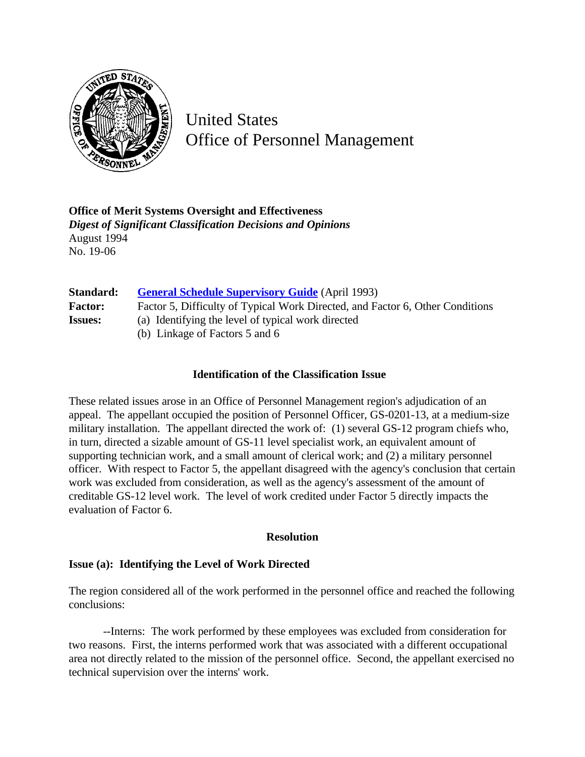

United States Office of Personnel Management

**Office of Merit Systems Oversight and Effectiveness** *Digest of Significant Classification Decisions and Opinions* August 1994 No. 19-06

| Standard:      | <b>General Schedule Supervisory Guide</b> (April 1993)                        |
|----------------|-------------------------------------------------------------------------------|
| <b>Factor:</b> | Factor 5, Difficulty of Typical Work Directed, and Factor 6, Other Conditions |
| <b>Issues:</b> | (a) Identifying the level of typical work directed                            |
|                | (b) Linkage of Factors 5 and 6                                                |

## **Identification of the Classification Issue**

These related issues arose in an Office of Personnel Management region's adjudication of an appeal. The appellant occupied the position of Personnel Officer, GS-0201-13, at a medium-size military installation. The appellant directed the work of: (1) several GS-12 program chiefs who, in turn, directed a sizable amount of GS-11 level specialist work, an equivalent amount of supporting technician work, and a small amount of clerical work; and (2) a military personnel officer. With respect to Factor 5, the appellant disagreed with the agency's conclusion that certain work was excluded from consideration, as well as the agency's assessment of the amount of creditable GS-12 level work. The level of work credited under Factor 5 directly impacts the evaluation of Factor 6.

## **Resolution**

## **Issue (a): Identifying the Level of Work Directed**

The region considered all of the work performed in the personnel office and reached the following conclusions:

--Interns: The work performed by these employees was excluded from consideration for two reasons. First, the interns performed work that was associated with a different occupational area not directly related to the mission of the personnel office. Second, the appellant exercised no technical supervision over the interns' work.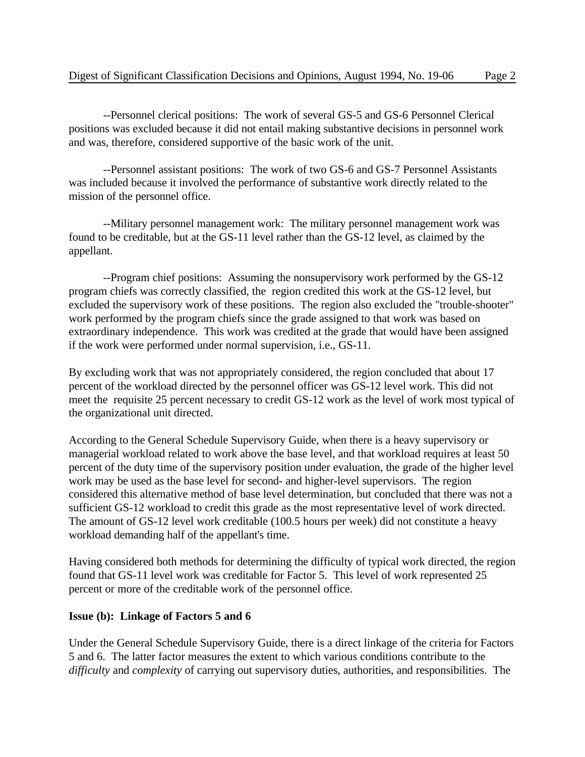--Personnel clerical positions: The work of several GS-5 and GS-6 Personnel Clerical positions was excluded because it did not entail making substantive decisions in personnel work and was, therefore, considered supportive of the basic work of the unit.

--Personnel assistant positions: The work of two GS-6 and GS-7 Personnel Assistants was included because it involved the performance of substantive work directly related to the mission of the personnel office.

--Military personnel management work: The military personnel management work was found to be creditable, but at the GS-11 level rather than the GS-12 level, as claimed by the appellant.

--Program chief positions: Assuming the nonsupervisory work performed by the GS-12 program chiefs was correctly classified, the region credited this work at the GS-12 level, but excluded the supervisory work of these positions. The region also excluded the "trouble-shooter" work performed by the program chiefs since the grade assigned to that work was based on extraordinary independence. This work was credited at the grade that would have been assigned if the work were performed under normal supervision, i.e., GS-11.

By excluding work that was not appropriately considered, the region concluded that about 17 percent of the workload directed by the personnel officer was GS-12 level work. This did not meet the requisite 25 percent necessary to credit GS-12 work as the level of work most typical of the organizational unit directed.

According to the General Schedule Supervisory Guide, when there is a heavy supervisory or managerial workload related to work above the base level, and that workload requires at least 50 percent of the duty time of the supervisory position under evaluation, the grade of the higher level work may be used as the base level for second- and higher-level supervisors. The region considered this alternative method of base level determination, but concluded that there was not a sufficient GS-12 workload to credit this grade as the most representative level of work directed. The amount of GS-12 level work creditable (100.5 hours per week) did not constitute a heavy workload demanding half of the appellant's time.

Having considered both methods for determining the difficulty of typical work directed, the region found that GS-11 level work was creditable for Factor 5. This level of work represented 25 percent or more of the creditable work of the personnel office.

## **Issue (b): Linkage of Factors 5 and 6**

Under the General Schedule Supervisory Guide, there is a direct linkage of the criteria for Factors 5 and 6. The latter factor measures the extent to which various conditions contribute to the *difficulty* and *complexity* of carrying out supervisory duties, authorities, and responsibilities. The